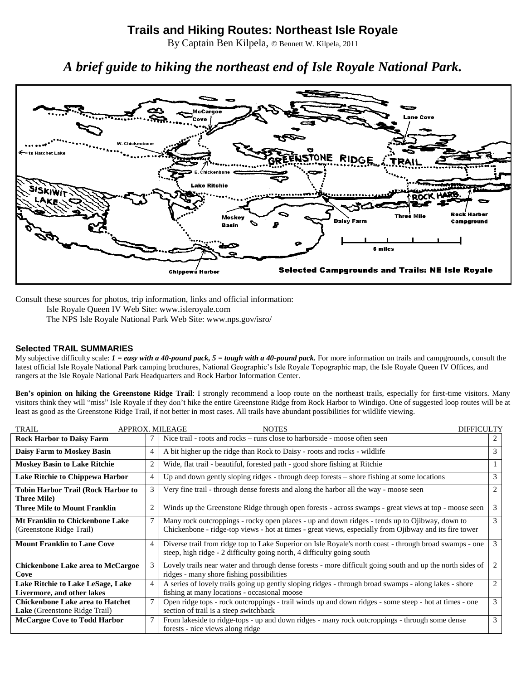## **Trails and Hiking Routes: Northeast Isle Royale**

By Captain Ben Kilpela, © Bennett W. Kilpela, 2011

# *A brief guide to hiking the northeast end of Isle Royale National Park.*



Consult these sources for photos, trip information, links and official information:

Isle Royale Queen IV Web Site: www.isleroyale.com The NPS Isle Royale National Park Web Site: www.nps.gov/isro/

## **Selected TRAIL SUMMARIES**

My subjective difficulty scale:  $I = easy$  with a 40-pound pack,  $5 = tough$  with a 40-pound pack. For more information on trails and campgrounds, consult the latest official Isle Royale National Park camping brochures, National Geographic's Isle Royale Topographic map, the Isle Royale Queen IV Offices, and rangers at the Isle Royale National Park Headquarters and Rock Harbor Information Center.

**Ben's opinion on hiking the Greenstone Ridge Trail**: I strongly recommend a loop route on the northeast trails, especially for first-time visitors. Many visitors think they will "miss" Isle Royale if they don't hike the entire Greenstone Ridge from Rock Harbor to Windigo. One of suggested loop routes will be at least as good as the Greenstone Ridge Trail, if not better in most cases. All trails have abundant possibilities for wildlife viewing.

| <b>TRAIL</b>                                                                    | APPROX. MILEAGE<br><b>NOTES</b> |                                                                                                                                                                                                          |                |  |  |  |
|---------------------------------------------------------------------------------|---------------------------------|----------------------------------------------------------------------------------------------------------------------------------------------------------------------------------------------------------|----------------|--|--|--|
| <b>Rock Harbor to Daisy Farm</b>                                                |                                 | Nice trail - roots and rocks – runs close to harborside - moose often seen                                                                                                                               |                |  |  |  |
| <b>Daisy Farm to Moskey Basin</b>                                               | 4                               | A bit higher up the ridge than Rock to Daisy - roots and rocks - wildlife                                                                                                                                | 3              |  |  |  |
| <b>Moskey Basin to Lake Ritchie</b>                                             | $\overline{2}$                  | Wide, flat trail - beautiful, forested path - good shore fishing at Ritchie                                                                                                                              |                |  |  |  |
| Lake Ritchie to Chippewa Harbor                                                 | $\overline{4}$                  | Up and down gently sloping ridges - through deep forests – shore fishing at some locations                                                                                                               | 3              |  |  |  |
| Tobin Harbor Trail (Rock Harbor to<br><b>Three Mile)</b>                        | 3                               | Very fine trail - through dense forests and along the harbor all the way - moose seen                                                                                                                    |                |  |  |  |
| Three Mile to Mount Franklin                                                    | $\overline{2}$                  | Winds up the Greenstone Ridge through open forests - across swamps - great views at top - moose seen                                                                                                     | 3              |  |  |  |
| <b>Mt Franklin to Chickenbone Lake</b><br>(Greenstone Ridge Trail)              | 7                               | Many rock outcroppings - rocky open places - up and down ridges - tends up to Ojibway, down to<br>Chickenbone - ridge-top views - hot at times - great views, especially from Ojibway and its fire tower | 3              |  |  |  |
| <b>Mount Franklin to Lane Cove</b>                                              | $\overline{4}$                  | Diverse trail from ridge top to Lake Superior on Isle Royale's north coast - through broad swamps - one<br>steep, high ridge - 2 difficulty going north, 4 difficulty going south                        | 3              |  |  |  |
| <b>Chickenbone Lake area to McCargoe</b><br>Cove                                | 3                               | Lovely trails near water and through dense forests - more difficult going south and up the north sides of<br>ridges - many shore fishing possibilities                                                   | 2              |  |  |  |
| Lake Ritchie to Lake LeSage, Lake<br>Livermore, and other lakes                 | $\overline{4}$                  | A series of lovely trails going up gently sloping ridges - through broad swamps - along lakes - shore<br>fishing at many locations - occasional moose                                                    | $\overline{2}$ |  |  |  |
| <b>Chickenbone Lake area to Hatchet</b><br><b>Lake</b> (Greenstone Ridge Trail) | 7                               | Open ridge tops - rock outcroppings - trail winds up and down ridges - some steep - hot at times - one<br>section of trail is a steep switchback                                                         | 3              |  |  |  |
| <b>McCargoe Cove to Todd Harbor</b>                                             |                                 | From lakeside to ridge-tops - up and down ridges - many rock outcroppings - through some dense<br>forests - nice views along ridge                                                                       | 3              |  |  |  |